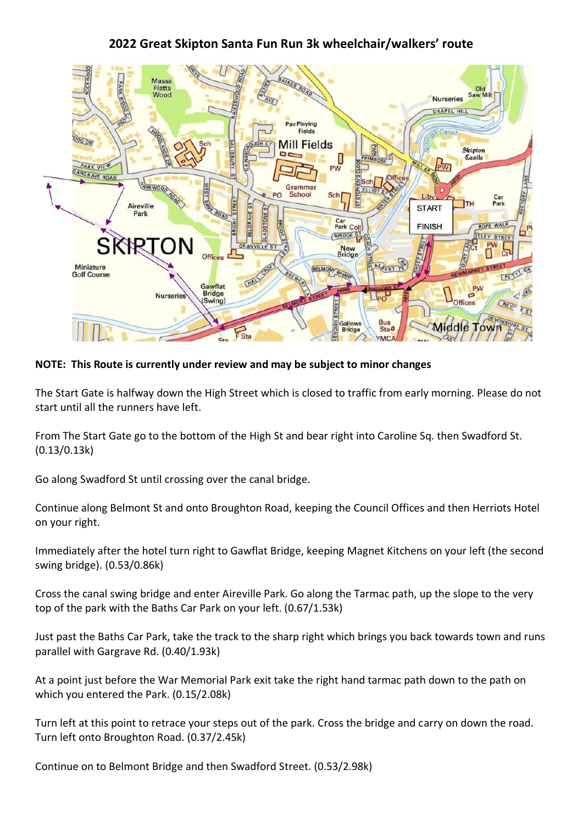## **2022 Great Skipton Santa Fun Run 3k wheelchair/walkers' route**



**NOTE: This Route is currently under review and may be subject to minor changes**

The Start Gate is halfway down the High Street which is closed to traffic from early morning. Please do not start until all the runners have left.

From The Start Gate go to the bottom of the High St and bear right into Caroline Sq. then Swadford St. (0.13/0.13k)

Go along Swadford St until crossing over the canal bridge.

Continue along Belmont St and onto Broughton Road, keeping the Council Offices and then Herriots Hotel on your right.

Immediately after the hotel turn right to Gawflat Bridge, keeping Magnet Kitchens on your left (the second swing bridge). (0.53/0.86k)

Cross the canal swing bridge and enter Aireville Park. Go along the Tarmac path, up the slope to the very top of the park with the Baths Car Park on your left. (0.67/1.53k)

Just past the Baths Car Park, take the track to the sharp right which brings you back towards town and runs parallel with Gargrave Rd. (0.40/1.93k)

At a point just before the War Memorial Park exit take the right hand tarmac path down to the path on which you entered the Park. (0.15/2.08k)

Turn left at this point to retrace your steps out of the park. Cross the bridge and carry on down the road. Turn left onto Broughton Road. (0.37/2.45k)

Continue on to Belmont Bridge and then Swadford Street. (0.53/2.98k)